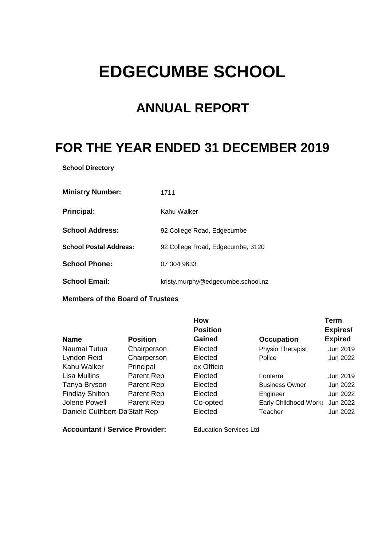# **EDGECUMBE SCHOOL**

## **ANNUAL REPORT**

## **FOR THE YEAR ENDED 31 DECEMBER 2019**

**School Directory**

| <b>Ministry Number:</b>       | 1711                              |
|-------------------------------|-----------------------------------|
| <b>Principal:</b>             | Kahu Walker                       |
| <b>School Address:</b>        | 92 College Road, Edgecumbe        |
| <b>School Postal Address:</b> | 92 College Road, Edgecumbe, 3120  |
| <b>School Phone:</b>          | 07 304 9633                       |
| <b>School Email:</b>          | kristy.murphy@edgecumbe.school.nz |

**Members of the Board of Trustees**

|                               |                 | <b>How</b><br><b>Position</b> |                       | <b>Term</b><br>Expires/ |
|-------------------------------|-----------------|-------------------------------|-----------------------|-------------------------|
| <b>Name</b>                   | <b>Position</b> | <b>Gained</b>                 | <b>Occupation</b>     | <b>Expired</b>          |
| Naumai Tutua                  | Chairperson     | Elected                       | Physio Therapist      | Jun 2019                |
| Lyndon Reid                   | Chairperson     | Elected                       | Police                | Jun 2022                |
| Kahu Walker                   | Principal       | ex Officio                    |                       |                         |
| <b>Lisa Mullins</b>           | Parent Rep      | Elected                       | Fonterra              | Jun 2019                |
| Tanya Bryson                  | Parent Rep      | Elected                       | <b>Business Owner</b> | Jun 2022                |
| <b>Findlay Shilton</b>        | Parent Rep      | Elected                       | Engineer              | Jun 2022                |
| Jolene Powell                 | Parent Rep      | Co-opted                      | Early Childhood Worke | Jun 2022                |
| Daniele Cuthbert-Da Staff Rep |                 | Elected                       | Teacher               | Jun 2022                |

Accountant / Service Provider: Education Services Ltd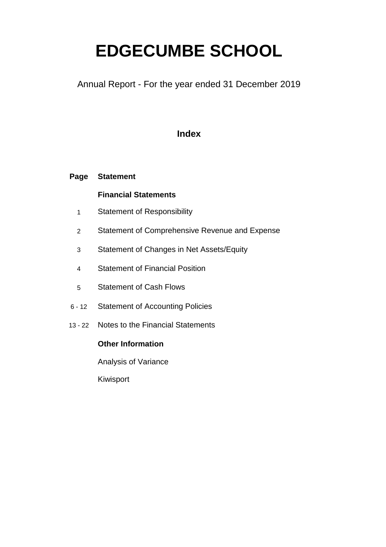# **EDGECUMBE SCHOOL**

Annual Report - For the year ended 31 December 2019

### **Index**

#### **Page Statement**

### **Financial Statements**

- 1 Statement of Responsibility
- 2 Statement of Comprehensive Revenue and Expense
- 3 Statement of Changes in Net Assets/Equity
- 4 Statement of Financial Position
- 5 Statement of Cash Flows
- 6 12 Statement of Accounting Policies
- 13 22 Notes to the Financial Statements

### **Other Information**

Analysis of Variance

Kiwisport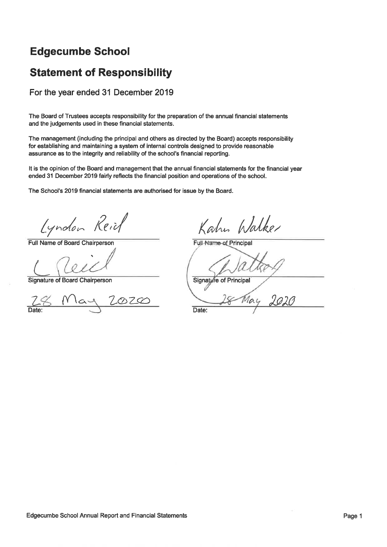### **Edgecumbe School**

### **Statement of Responsibility**

For the year ended 31 December 2019

The Board of Trustees accepts responsibility for the preparation of the annual financial statements and the judgements used in these financial statements.

The management (including the principal and others as directed by the Board) accepts responsibility for establishing and maintaining a system of internal controls designed to provide reasonable assurance as to the integrity and reliability of the school's financial reporting.

It is the opinion of the Board and management that the annual financial statements for the financial year ended 31 December 2019 fairly reflects the financial position and operations of the school.

The School's 2019 financial statements are authorised for issue by the Board.

Lyndon Reich

Full Name of Board Chairperson

Signature of Board Chairperson

احدا

Kahus Walke

Full-Name-of Principal

Signature of Principal

Date: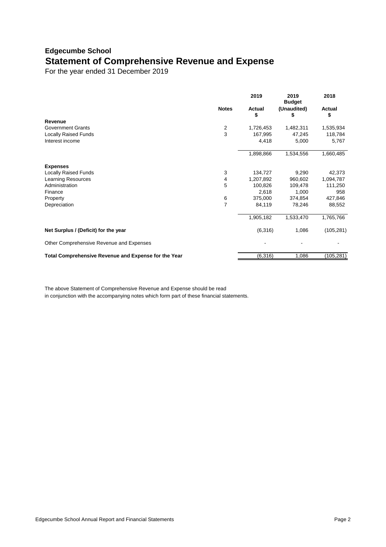## **Edgecumbe School Statement of Comprehensive Revenue and Expense**

For the year ended 31 December 2019

|                                                             |                | 2019                | 2019<br><b>Budget</b> | 2018                |
|-------------------------------------------------------------|----------------|---------------------|-----------------------|---------------------|
|                                                             | <b>Notes</b>   | <b>Actual</b><br>\$ | (Unaudited)<br>\$     | <b>Actual</b><br>\$ |
| Revenue                                                     |                |                     |                       |                     |
| <b>Government Grants</b>                                    | $\frac{2}{3}$  | 1,726,453           | 1,482,311             | 1,535,934           |
| <b>Locally Raised Funds</b>                                 |                | 167,995             | 47,245                | 118,784             |
| Interest income                                             |                | 4,418               | 5,000                 | 5,767               |
|                                                             |                | 1,898,866           | 1,534,556             | 1,660,485           |
| <b>Expenses</b>                                             |                |                     |                       |                     |
| <b>Locally Raised Funds</b>                                 | 3              | 134,727             | 9,290                 | 42,373              |
| <b>Learning Resources</b>                                   | 4              | 1,207,892           | 960,602               | 1,094,787           |
| Administration                                              | 5              | 100,826             | 109,478               | 111,250             |
| Finance                                                     |                | 2,618               | 1,000                 | 958                 |
| Property                                                    | 6              | 375,000             | 374,854               | 427,846             |
| Depreciation                                                | $\overline{7}$ | 84,119              | 78,246                | 88,552              |
|                                                             |                | 1,905,182           | 1,533,470             | 1,765,766           |
| Net Surplus / (Deficit) for the year                        |                | (6,316)             | 1,086                 | (105, 281)          |
| Other Comprehensive Revenue and Expenses                    |                |                     |                       |                     |
| <b>Total Comprehensive Revenue and Expense for the Year</b> |                | (6, 316)            | 1,086                 | (105, 281)          |

The above Statement of Comprehensive Revenue and Expense should be read

in conjunction with the accompanying notes which form part of these financial statements.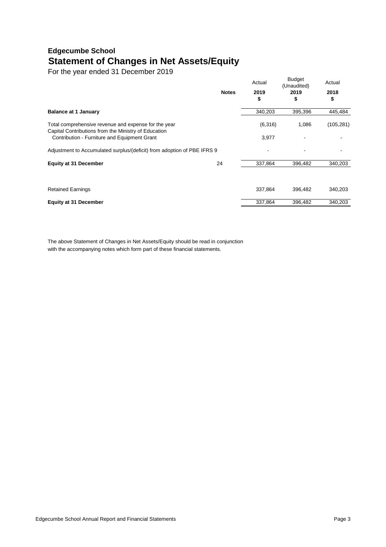## **Edgecumbe School Statement of Changes in Net Assets/Equity**

For the year ended 31 December 2019

|                                                                                                              | <b>Notes</b> | Actual<br>2019<br>\$ | <b>Budget</b><br>(Unaudited)<br>2019<br>\$ | Actual<br>2018<br>\$ |
|--------------------------------------------------------------------------------------------------------------|--------------|----------------------|--------------------------------------------|----------------------|
| <b>Balance at 1 January</b>                                                                                  |              | 340,203              | 395,396                                    | 445,484              |
| Total comprehensive revenue and expense for the year<br>Capital Contributions from the Ministry of Education |              | (6,316)              | 1,086                                      | (105, 281)           |
| Contribution - Furniture and Equipment Grant                                                                 |              | 3,977                |                                            |                      |
| Adjustment to Accumulated surplus/(deficit) from adoption of PBE IFRS 9                                      |              |                      |                                            |                      |
| <b>Equity at 31 December</b>                                                                                 | 24           | 337,864              | 396,482                                    | 340,203              |
|                                                                                                              |              |                      |                                            |                      |
| <b>Retained Earnings</b>                                                                                     |              | 337,864              | 396,482                                    | 340,203              |
| <b>Equity at 31 December</b>                                                                                 |              | 337,864              | 396,482                                    | 340,203              |

The above Statement of Changes in Net Assets/Equity should be read in conjunction with the accompanying notes which form part of these financial statements.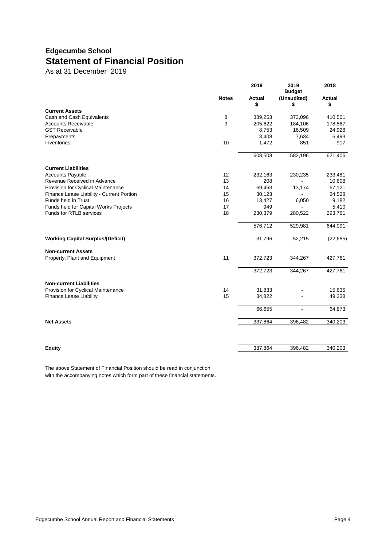## **Edgecumbe School Statement of Financial Position**

As at 31 December 2019

|                                           |              | 2019                | 2019<br><b>Budget</b> | 2018                |
|-------------------------------------------|--------------|---------------------|-----------------------|---------------------|
|                                           | <b>Notes</b> | <b>Actual</b><br>\$ | (Unaudited)<br>\$     | <b>Actual</b><br>\$ |
| <b>Current Assets</b>                     |              |                     |                       |                     |
| Cash and Cash Equivalents                 | 8            | 389,253             | 373,096               | 410,501             |
| <b>Accounts Receivable</b>                | 9            | 205,622             | 184,106               | 178,567             |
| <b>GST Receivable</b>                     |              | 8,753               | 16,509                | 24,928              |
| Prepayments                               |              | 3,408               | 7,634                 | 6,493               |
| Inventories                               | 10           | 1,472               | 851                   | 917                 |
|                                           |              | 608,508             | 582,196               | 621,406             |
| <b>Current Liabilities</b>                |              |                     |                       |                     |
| <b>Accounts Payable</b>                   | 12           | 232,163             | 230,235               | 233,481             |
| Revenue Received in Advance               | 13           | 208                 |                       | 10,608              |
| Provision for Cyclical Maintenance        | 14           | 69,463              | 13,174                | 67,121              |
| Finance Lease Liability - Current Portion | 15           | 30,123              |                       | 24,528              |
| Funds held in Trust                       | 16           | 13,427              | 6,050                 | 9,182               |
| Funds held for Capital Works Projects     | 17           | 949                 |                       | 5,410               |
| <b>Funds for RTLB services</b>            | 18           | 230,379             | 280,522               | 293,761             |
|                                           |              | 576,712             | 529,981               | 644,091             |
| <b>Working Capital Surplus/(Deficit)</b>  |              | 31,796              | 52,215                | (22, 685)           |
| <b>Non-current Assets</b>                 |              |                     |                       |                     |
| Property, Plant and Equipment             | 11           | 372,723             | 344,267               | 427,761             |
|                                           |              | 372,723             | 344,267               | 427,761             |
| <b>Non-current Liabilities</b>            |              |                     |                       |                     |
| Provision for Cyclical Maintenance        | 14           | 31,833              |                       | 15,635              |
| <b>Finance Lease Liability</b>            | 15           | 34,822              |                       | 49,238              |
|                                           |              | 66,655              | ٠                     | 64,873              |
| <b>Net Assets</b>                         |              | 337,864             | 396,482               | 340,203             |
|                                           |              |                     |                       |                     |
| <b>Equity</b>                             |              | 337,864             | 396,482               | 340,203             |

The above Statement of Financial Position should be read in conjunction with the accompanying notes which form part of these financial statements.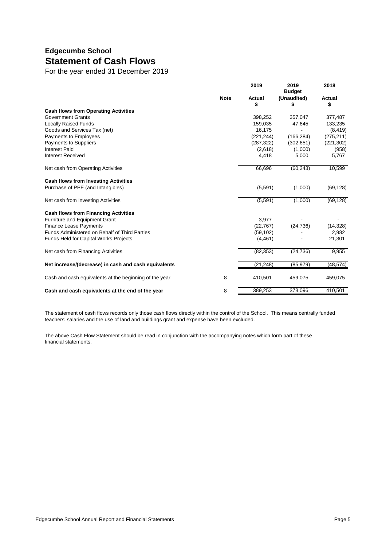## **Edgecumbe School Statement of Cash Flows**

For the year ended 31 December 2019

|                                                        |             | 2019                | 2019<br><b>Budget</b> | 2018                |
|--------------------------------------------------------|-------------|---------------------|-----------------------|---------------------|
|                                                        | <b>Note</b> | <b>Actual</b><br>\$ | (Unaudited)<br>\$     | <b>Actual</b><br>\$ |
| <b>Cash flows from Operating Activities</b>            |             |                     |                       |                     |
| <b>Government Grants</b>                               |             | 398,252             | 357,047               | 377,487             |
| <b>Locally Raised Funds</b>                            |             | 159,035             | 47,645                | 133,235             |
| Goods and Services Tax (net)                           |             | 16,175              |                       | (8, 419)            |
| Payments to Employees                                  |             | (221, 244)          | (166, 284)            | (275, 211)          |
| Payments to Suppliers                                  |             | (287, 322)          | (302, 651)            | (221, 302)          |
| <b>Interest Paid</b>                                   |             | (2,618)             | (1,000)               | (958)               |
| <b>Interest Received</b>                               |             | 4,418               | 5,000                 | 5,767               |
| Net cash from Operating Activities                     |             | 66,696              | (60, 243)             | 10,599              |
| <b>Cash flows from Investing Activities</b>            |             |                     |                       |                     |
| Purchase of PPE (and Intangibles)                      |             | (5,591)             | (1,000)               | (69, 128)           |
| Net cash from Investing Activities                     |             | (5,591)             | (1,000)               | (69, 128)           |
| <b>Cash flows from Financing Activities</b>            |             |                     |                       |                     |
| Furniture and Equipment Grant                          |             | 3,977               |                       |                     |
| <b>Finance Lease Payments</b>                          |             | (22, 767)           | (24, 736)             | (14, 328)           |
| Funds Administered on Behalf of Third Parties          |             | (59, 102)           |                       | 2,982               |
| Funds Held for Capital Works Projects                  |             | (4, 461)            |                       | 21,301              |
| Net cash from Financing Activities                     |             | (82, 353)           | (24, 736)             | 9,955               |
| Net increase/(decrease) in cash and cash equivalents   |             | (21, 248)           | (85, 979)             | (48, 574)           |
| Cash and cash equivalents at the beginning of the year | 8           | 410,501             | 459,075               | 459,075             |
| Cash and cash equivalents at the end of the year       | 8           | 389,253             | 373,096               | 410,501             |

The statement of cash flows records only those cash flows directly within the control of the School. This means centrally funded teachers' salaries and the use of land and buildings grant and expense have been excluded.

The above Cash Flow Statement should be read in conjunction with the accompanying notes which form part of these financial statements.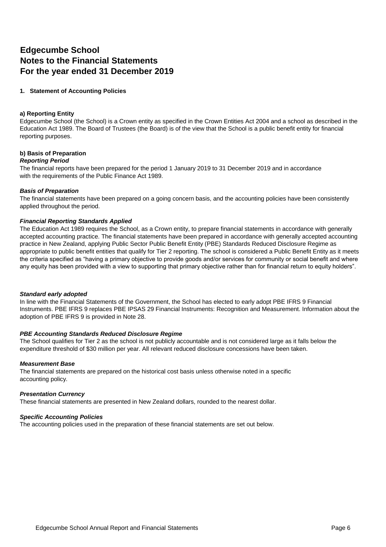### **Edgecumbe School Notes to the Financial Statements For the year ended 31 December 2019**

#### **1. Statement of Accounting Policies**

#### **a) Reporting Entity**

Edgecumbe School (the School) is a Crown entity as specified in the Crown Entities Act 2004 and a school as described in the Education Act 1989. The Board of Trustees (the Board) is of the view that the School is a public benefit entity for financial reporting purposes.

#### **b) Basis of Preparation**

#### *Reporting Period*

The financial reports have been prepared for the period 1 January 2019 to 31 December 2019 and in accordance with the requirements of the Public Finance Act 1989.

#### *Basis of Preparation*

The financial statements have been prepared on a going concern basis, and the accounting policies have been consistently applied throughout the period.

#### *Financial Reporting Standards Applied*

The Education Act 1989 requires the School, as a Crown entity, to prepare financial statements in accordance with generally accepted accounting practice. The financial statements have been prepared in accordance with generally accepted accounting practice in New Zealand, applying Public Sector Public Benefit Entity (PBE) Standards Reduced Disclosure Regime as appropriate to public benefit entities that qualify for Tier 2 reporting. The school is considered a Public Benefit Entity as it meets the criteria specified as "having a primary objective to provide goods and/or services for community or social benefit and where any equity has been provided with a view to supporting that primary objective rather than for financial return to equity holders".

#### *Standard early adopted*

In line with the Financial Statements of the Government, the School has elected to early adopt PBE IFRS 9 Financial Instruments. PBE IFRS 9 replaces PBE IPSAS 29 Financial Instruments: Recognition and Measurement. Information about the adoption of PBE IFRS 9 is provided in Note 28.

#### *PBE Accounting Standards Reduced Disclosure Regime*

The School qualifies for Tier 2 as the school is not publicly accountable and is not considered large as it falls below the expenditure threshold of \$30 million per year. All relevant reduced disclosure concessions have been taken.

#### *Measurement Base*

The financial statements are prepared on the historical cost basis unless otherwise noted in a specific accounting policy.

#### *Presentation Currency*

These financial statements are presented in New Zealand dollars, rounded to the nearest dollar.

#### *Specific Accounting Policies*

The accounting policies used in the preparation of these financial statements are set out below.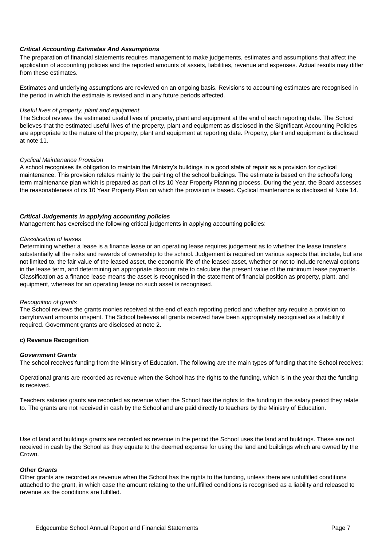#### *Critical Accounting Estimates And Assumptions*

The preparation of financial statements requires management to make judgements, estimates and assumptions that affect the application of accounting policies and the reported amounts of assets, liabilities, revenue and expenses. Actual results may differ from these estimates.

Estimates and underlying assumptions are reviewed on an ongoing basis. Revisions to accounting estimates are recognised in the period in which the estimate is revised and in any future periods affected.

#### *Useful lives of property, plant and equipment*

The School reviews the estimated useful lives of property, plant and equipment at the end of each reporting date. The School believes that the estimated useful lives of the property, plant and equipment as disclosed in the Significant Accounting Policies are appropriate to the nature of the property, plant and equipment at reporting date. Property, plant and equipment is disclosed at note 11.

#### *Cyclical Maintenance Provision*

A school recognises its obligation to maintain the Ministry's buildings in a good state of repair as a provision for cyclical maintenance. This provision relates mainly to the painting of the school buildings. The estimate is based on the school's long term maintenance plan which is prepared as part of its 10 Year Property Planning process. During the year, the Board assesses the reasonableness of its 10 Year Property Plan on which the provision is based. Cyclical maintenance is disclosed at Note 14.

#### *Critical Judgements in applying accounting policies*

Management has exercised the following critical judgements in applying accounting policies:

#### *Classification of leases*

Determining whether a lease is a finance lease or an operating lease requires judgement as to whether the lease transfers substantially all the risks and rewards of ownership to the school. Judgement is required on various aspects that include, but are not limited to, the fair value of the leased asset, the economic life of the leased asset, whether or not to include renewal options in the lease term, and determining an appropriate discount rate to calculate the present value of the minimum lease payments. Classification as a finance lease means the asset is recognised in the statement of financial position as property, plant, and equipment, whereas for an operating lease no such asset is recognised.

#### *Recognition of grants*

The School reviews the grants monies received at the end of each reporting period and whether any require a provision to carryforward amounts unspent. The School believes all grants received have been appropriately recognised as a liability if required. Government grants are disclosed at note 2.

#### **c) Revenue Recognition**

#### *Government Grants*

The school receives funding from the Ministry of Education. The following are the main types of funding that the School receives;

Operational grants are recorded as revenue when the School has the rights to the funding, which is in the year that the funding is received.

Teachers salaries grants are recorded as revenue when the School has the rights to the funding in the salary period they relate to. The grants are not received in cash by the School and are paid directly to teachers by the Ministry of Education.

Use of land and buildings grants are recorded as revenue in the period the School uses the land and buildings. These are not received in cash by the School as they equate to the deemed expense for using the land and buildings which are owned by the Crown.

#### *Other Grants*

Other grants are recorded as revenue when the School has the rights to the funding, unless there are unfulfilled conditions attached to the grant, in which case the amount relating to the unfulfilled conditions is recognised as a liability and released to revenue as the conditions are fulfilled.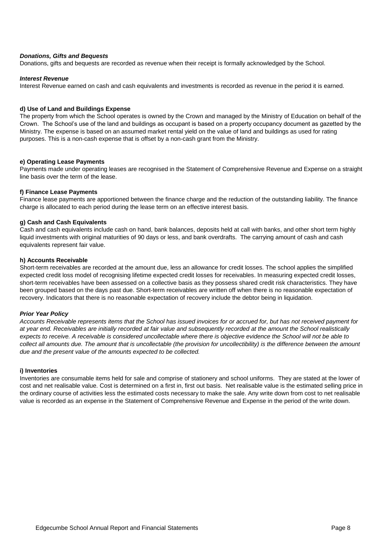#### *Donations, Gifts and Bequests*

Donations, gifts and bequests are recorded as revenue when their receipt is formally acknowledged by the School.

#### *Interest Revenue*

Interest Revenue earned on cash and cash equivalents and investments is recorded as revenue in the period it is earned.

#### **d) Use of Land and Buildings Expense**

The property from which the School operates is owned by the Crown and managed by the Ministry of Education on behalf of the Crown. The School's use of the land and buildings as occupant is based on a property occupancy document as gazetted by the Ministry. The expense is based on an assumed market rental yield on the value of land and buildings as used for rating purposes. This is a non-cash expense that is offset by a non-cash grant from the Ministry.

#### **e) Operating Lease Payments**

Payments made under operating leases are recognised in the Statement of Comprehensive Revenue and Expense on a straight line basis over the term of the lease.

#### **f) Finance Lease Payments**

Finance lease payments are apportioned between the finance charge and the reduction of the outstanding liability. The finance charge is allocated to each period during the lease term on an effective interest basis.

#### **g) Cash and Cash Equivalents**

Cash and cash equivalents include cash on hand, bank balances, deposits held at call with banks, and other short term highly liquid investments with original maturities of 90 days or less, and bank overdrafts. The carrying amount of cash and cash equivalents represent fair value.

#### **h) Accounts Receivable**

Short-term receivables are recorded at the amount due, less an allowance for credit losses. The school applies the simplified expected credit loss model of recognising lifetime expected credit losses for receivables. In measuring expected credit losses, short-term receivables have been assessed on a collective basis as they possess shared credit risk characteristics. They have been grouped based on the days past due. Short-term receivables are written off when there is no reasonable expectation of recovery. Indicators that there is no reasonable expectation of recovery include the debtor being in liquidation.

#### *Prior Year Policy*

*Accounts Receivable represents items that the School has issued invoices for or accrued for, but has not received payment for at year end. Receivables are initially recorded at fair value and subsequently recorded at the amount the School realistically expects to receive. A receivable is considered uncollectable where there is objective evidence the School will not be able to collect all amounts due. The amount that is uncollectable (the provision for uncollectibility) is the difference between the amount due and the present value of the amounts expected to be collected.* 

#### **i) Inventories**

Inventories are consumable items held for sale and comprise of stationery and school uniforms. They are stated at the lower of cost and net realisable value. Cost is determined on a first in, first out basis. Net realisable value is the estimated selling price in the ordinary course of activities less the estimated costs necessary to make the sale. Any write down from cost to net realisable value is recorded as an expense in the Statement of Comprehensive Revenue and Expense in the period of the write down.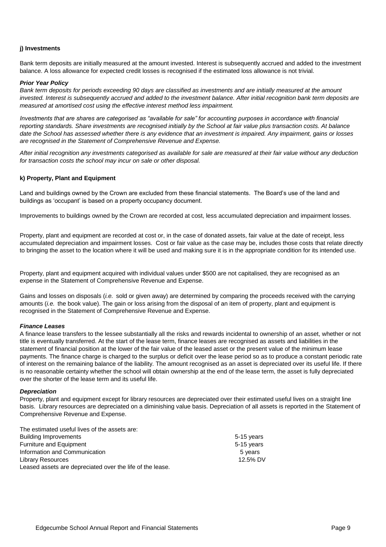#### **j) Investments**

Bank term deposits are initially measured at the amount invested. Interest is subsequently accrued and added to the investment balance. A loss allowance for expected credit losses is recognised if the estimated loss allowance is not trivial.

#### *Prior Year Policy*

*Bank term deposits for periods exceeding 90 days are classified as investments and are initially measured at the amount invested. Interest is subsequently accrued and added to the investment balance. After initial recognition bank term deposits are measured at amortised cost using the effective interest method less impairment.*

*Investments that are shares are categorised as "available for sale" for accounting purposes in accordance with financial reporting standards. Share investments are recognised initially by the School at fair value plus transaction costs. At balance date the School has assessed whether there is any evidence that an investment is impaired. Any impairment, gains or losses are recognised in the Statement of Comprehensive Revenue and Expense.*

*After initial recognition any investments categorised as available for sale are measured at their fair value without any deduction for transaction costs the school may incur on sale or other disposal.*

#### **k) Property, Plant and Equipment**

Land and buildings owned by the Crown are excluded from these financial statements. The Board's use of the land and buildings as 'occupant' is based on a property occupancy document.

Improvements to buildings owned by the Crown are recorded at cost, less accumulated depreciation and impairment losses.

Property, plant and equipment are recorded at cost or, in the case of donated assets, fair value at the date of receipt, less accumulated depreciation and impairment losses. Cost or fair value as the case may be, includes those costs that relate directly to bringing the asset to the location where it will be used and making sure it is in the appropriate condition for its intended use.

Property, plant and equipment acquired with individual values under \$500 are not capitalised, they are recognised as an expense in the Statement of Comprehensive Revenue and Expense.

Gains and losses on disposals (*i.e.* sold or given away) are determined by comparing the proceeds received with the carrying amounts (*i.e.* the book value). The gain or loss arising from the disposal of an item of property, plant and equipment is recognised in the Statement of Comprehensive Revenue and Expense.

#### *Finance Leases*

A finance lease transfers to the lessee substantially all the risks and rewards incidental to ownership of an asset, whether or not title is eventually transferred. At the start of the lease term, finance leases are recognised as assets and liabilities in the statement of financial position at the lower of the fair value of the leased asset or the present value of the minimum lease payments. The finance charge is charged to the surplus or deficit over the lease period so as to produce a constant periodic rate of interest on the remaining balance of the liability. The amount recognised as an asset is depreciated over its useful life. If there is no reasonable certainty whether the school will obtain ownership at the end of the lease term, the asset is fully depreciated over the shorter of the lease term and its useful life.

#### *Depreciation*

Property, plant and equipment except for library resources are depreciated over their estimated useful lives on a straight line basis. Library resources are depreciated on a diminishing value basis. Depreciation of all assets is reported in the Statement of Comprehensive Revenue and Expense.

| The estimated useful lives of the assets are:             |            |
|-----------------------------------------------------------|------------|
| <b>Building Improvements</b>                              | 5-15 years |
| Furniture and Equipment                                   | 5-15 years |
| Information and Communication                             | 5 years    |
| Library Resources                                         | 12.5% DV   |
| Leased assets are depreciated over the life of the lease. |            |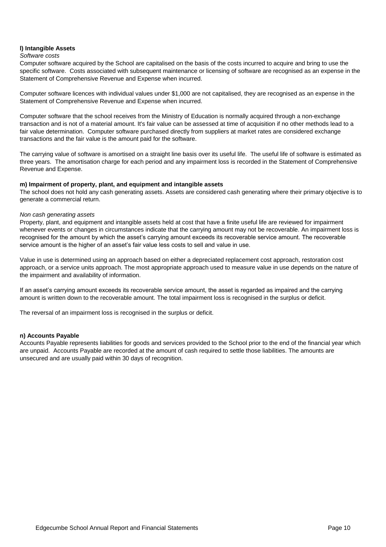#### **l) Intangible Assets**

#### *Software costs*

Computer software acquired by the School are capitalised on the basis of the costs incurred to acquire and bring to use the specific software. Costs associated with subsequent maintenance or licensing of software are recognised as an expense in the Statement of Comprehensive Revenue and Expense when incurred.

Computer software licences with individual values under \$1,000 are not capitalised, they are recognised as an expense in the Statement of Comprehensive Revenue and Expense when incurred.

Computer software that the school receives from the Ministry of Education is normally acquired through a non-exchange transaction and is not of a material amount. It's fair value can be assessed at time of acquisition if no other methods lead to a fair value determination. Computer software purchased directly from suppliers at market rates are considered exchange transactions and the fair value is the amount paid for the software.

The carrying value of software is amortised on a straight line basis over its useful life. The useful life of software is estimated as three years. The amortisation charge for each period and any impairment loss is recorded in the Statement of Comprehensive Revenue and Expense.

#### **m) Impairment of property, plant, and equipment and intangible assets**

The school does not hold any cash generating assets. Assets are considered cash generating where their primary objective is to generate a commercial return.

#### *Non cash generating assets*

Property, plant, and equipment and intangible assets held at cost that have a finite useful life are reviewed for impairment whenever events or changes in circumstances indicate that the carrying amount may not be recoverable. An impairment loss is recognised for the amount by which the asset's carrying amount exceeds its recoverable service amount. The recoverable service amount is the higher of an asset's fair value less costs to sell and value in use.

Value in use is determined using an approach based on either a depreciated replacement cost approach, restoration cost approach, or a service units approach. The most appropriate approach used to measure value in use depends on the nature of the impairment and availability of information.

If an asset's carrying amount exceeds its recoverable service amount, the asset is regarded as impaired and the carrying amount is written down to the recoverable amount. The total impairment loss is recognised in the surplus or deficit.

The reversal of an impairment loss is recognised in the surplus or deficit.

#### **n) Accounts Payable**

Accounts Payable represents liabilities for goods and services provided to the School prior to the end of the financial year which are unpaid. Accounts Payable are recorded at the amount of cash required to settle those liabilities. The amounts are unsecured and are usually paid within 30 days of recognition.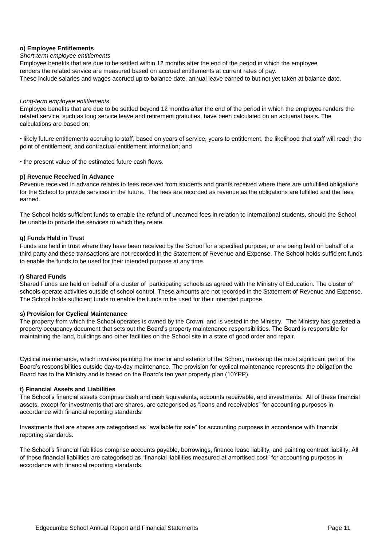#### **o) Employee Entitlements**

#### *Short-term employee entitlements*

Employee benefits that are due to be settled within 12 months after the end of the period in which the employee renders the related service are measured based on accrued entitlements at current rates of pay. These include salaries and wages accrued up to balance date, annual leave earned to but not yet taken at balance date.

#### *Long-term employee entitlements*

Employee benefits that are due to be settled beyond 12 months after the end of the period in which the employee renders the related service, such as long service leave and retirement gratuities, have been calculated on an actuarial basis. The calculations are based on:

• likely future entitlements accruing to staff, based on years of service, years to entitlement, the likelihood that staff will reach the point of entitlement, and contractual entitlement information; and

• the present value of the estimated future cash flows.

#### **p) Revenue Received in Advance**

Revenue received in advance relates to fees received from students and grants received where there are unfulfilled obligations for the School to provide services in the future. The fees are recorded as revenue as the obligations are fulfilled and the fees earned.

The School holds sufficient funds to enable the refund of unearned fees in relation to international students, should the School be unable to provide the services to which they relate.

#### **q) Funds Held in Trust**

Funds are held in trust where they have been received by the School for a specified purpose, or are being held on behalf of a third party and these transactions are not recorded in the Statement of Revenue and Expense. The School holds sufficient funds to enable the funds to be used for their intended purpose at any time.

#### **r) Shared Funds**

Shared Funds are held on behalf of a cluster of participating schools as agreed with the Ministry of Education. The cluster of schools operate activities outside of school control. These amounts are not recorded in the Statement of Revenue and Expense. The School holds sufficient funds to enable the funds to be used for their intended purpose.

#### **s) Provision for Cyclical Maintenance**

The property from which the School operates is owned by the Crown, and is vested in the Ministry. The Ministry has gazetted a property occupancy document that sets out the Board's property maintenance responsibilities. The Board is responsible for maintaining the land, buildings and other facilities on the School site in a state of good order and repair.

Cyclical maintenance, which involves painting the interior and exterior of the School, makes up the most significant part of the Board's responsibilities outside day-to-day maintenance. The provision for cyclical maintenance represents the obligation the Board has to the Ministry and is based on the Board's ten year property plan (10YPP).

#### **t) Financial Assets and Liabilities**

The School's financial assets comprise cash and cash equivalents, accounts receivable, and investments. All of these financial assets, except for investments that are shares, are categorised as "loans and receivables" for accounting purposes in accordance with financial reporting standards.

Investments that are shares are categorised as "available for sale" for accounting purposes in accordance with financial reporting standards.

The School's financial liabilities comprise accounts payable, borrowings, finance lease liability, and painting contract liability. All of these financial liabilities are categorised as "financial liabilities measured at amortised cost" for accounting purposes in accordance with financial reporting standards.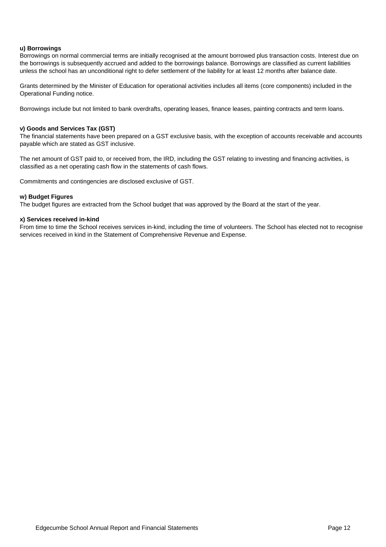#### **u) Borrowings**

Borrowings on normal commercial terms are initially recognised at the amount borrowed plus transaction costs. Interest due on the borrowings is subsequently accrued and added to the borrowings balance. Borrowings are classified as current liabilities unless the school has an unconditional right to defer settlement of the liability for at least 12 months after balance date.

Grants determined by the Minister of Education for operational activities includes all items (core components) included in the Operational Funding notice.

Borrowings include but not limited to bank overdrafts, operating leases, finance leases, painting contracts and term loans.

#### **v) Goods and Services Tax (GST)**

The financial statements have been prepared on a GST exclusive basis, with the exception of accounts receivable and accounts payable which are stated as GST inclusive.

The net amount of GST paid to, or received from, the IRD, including the GST relating to investing and financing activities, is classified as a net operating cash flow in the statements of cash flows.

Commitments and contingencies are disclosed exclusive of GST.

#### **w) Budget Figures**

The budget figures are extracted from the School budget that was approved by the Board at the start of the year.

#### **x) Services received in-kind**

From time to time the School receives services in-kind, including the time of volunteers. The School has elected not to recognise services received in kind in the Statement of Comprehensive Revenue and Expense.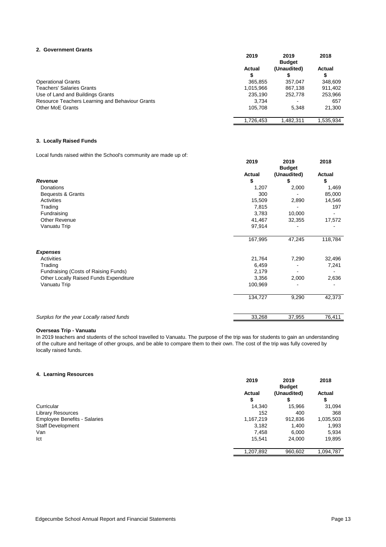#### **2. Government Grants**

|                                                 | 2019          | 2019<br><b>Budget</b> | 2018          |
|-------------------------------------------------|---------------|-----------------------|---------------|
|                                                 | <b>Actual</b> | (Unaudited)           | <b>Actual</b> |
|                                                 | \$            |                       | \$            |
| <b>Operational Grants</b>                       | 365,855       | 357.047               | 348,609       |
| <b>Teachers' Salaries Grants</b>                | 1,015,966     | 867,138               | 911,402       |
| Use of Land and Buildings Grants                | 235,190       | 252,778               | 253,966       |
| Resource Teachers Learning and Behaviour Grants | 3.734         |                       | 657           |
| Other MoE Grants                                | 105.708       | 5.348                 | 21,300        |
|                                                 | 1,726,453     | 1,482,311             | 1,535,934     |

#### **3. Locally Raised Funds**

Local funds raised within the School's community are made up of:

|                                           | 2019          | 2019<br><b>Budget</b> | 2018          |
|-------------------------------------------|---------------|-----------------------|---------------|
|                                           | <b>Actual</b> | (Unaudited)           | <b>Actual</b> |
| <b>Revenue</b>                            | \$            | \$                    | \$            |
| Donations                                 | 1,207         | 2,000                 | 1,469         |
| Bequests & Grants                         | 300           |                       | 85,000        |
| Activities                                | 15,509        | 2,890                 | 14,546        |
| Trading                                   | 7,815         |                       | 197           |
| Fundraising                               | 3,783         | 10,000                |               |
| <b>Other Revenue</b>                      | 41,467        | 32,355                | 17,572        |
| Vanuatu Trip                              | 97,914        |                       |               |
|                                           | 167,995       | 47,245                | 118,784       |
| <b>Expenses</b>                           |               |                       |               |
| Activities                                | 21,764        | 7,290                 | 32,496        |
| Trading                                   | 6,459         |                       | 7,241         |
| Fundraising (Costs of Raising Funds)      | 2,179         |                       |               |
| Other Locally Raised Funds Expenditure    | 3,356         | 2,000                 | 2,636         |
| Vanuatu Trip                              | 100,969       |                       |               |
|                                           | 134,727       | 9,290                 | 42,373        |
| Surplus for the year Locally raised funds | 33,268        | 37,955                | 76,411        |

#### **Overseas Trip - Vanuatu**

In 2019 teachers and students of the school travelled to Vanuatu. The purpose of the trip was for students to gain an understanding of the culture and heritage of other groups, and be able to compare them to their own. The cost of the trip was fully covered by locally raised funds.

#### **4. Learning Resources**

|                                     | 2019          | 2019<br><b>Budget</b> | 2018          |
|-------------------------------------|---------------|-----------------------|---------------|
|                                     | <b>Actual</b> | (Unaudited)           | <b>Actual</b> |
|                                     | \$            |                       | \$            |
| Curricular                          | 14,340        | 15,966                | 31,094        |
| <b>Library Resources</b>            | 152           | 400                   | 368           |
| <b>Employee Benefits - Salaries</b> | 1,167,219     | 912,836               | 1,035,503     |
| <b>Staff Development</b>            | 3,182         | 1,400                 | 1,993         |
| Van                                 | 7,458         | 6,000                 | 5,934         |
| Ict                                 | 15,541        | 24,000                | 19,895        |
|                                     | 1,207,892     | 960,602               | 1,094,787     |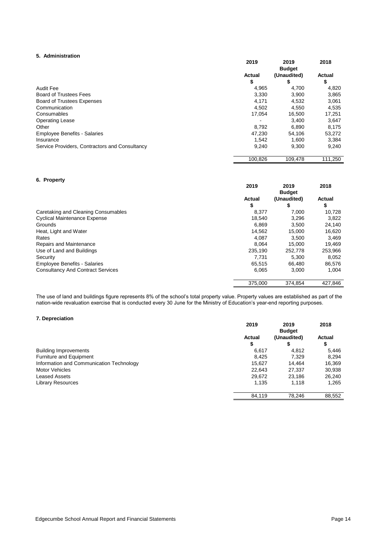#### **5. Administration**

|                                                | 2019          | 2019<br><b>Budget</b> | 2018          |
|------------------------------------------------|---------------|-----------------------|---------------|
|                                                | <b>Actual</b> | (Unaudited)           | <b>Actual</b> |
|                                                | \$            | C                     | \$            |
| Audit Fee                                      | 4.965         | 4,700                 | 4,820         |
| <b>Board of Trustees Fees</b>                  | 3,330         | 3,900                 | 3,865         |
| <b>Board of Trustees Expenses</b>              | 4,171         | 4,532                 | 3,061         |
| Communication                                  | 4,502         | 4,550                 | 4,535         |
| Consumables                                    | 17,054        | 16,500                | 17,251        |
| <b>Operating Lease</b>                         | ٠             | 3.400                 | 3,647         |
| Other                                          | 8.792         | 6,890                 | 8,175         |
| <b>Employee Benefits - Salaries</b>            | 47,230        | 54,106                | 53,272        |
| Insurance                                      | 1.542         | 1,600                 | 3,384         |
| Service Providers, Contractors and Consultancy | 9.240         | 9,300                 | 9,240         |
|                                                | 100,826       | 109,478               | 111,250       |

#### **6. Property**

|                                          | 2019                | 2019<br><b>Budget</b> | 2018               |
|------------------------------------------|---------------------|-----------------------|--------------------|
|                                          | <b>Actual</b><br>\$ | (Unaudited)           | <b>Actual</b><br>S |
| Caretaking and Cleaning Consumables      | 8,377               | 7.000                 | 10,728             |
| <b>Cyclical Maintenance Expense</b>      | 18,540              | 3.296                 | 3,822              |
| Grounds                                  | 6,869               | 3,500                 | 24,140             |
| Heat, Light and Water                    | 14,562              | 15,000                | 16,620             |
| Rates                                    | 4,087               | 3.500                 | 3,469              |
| Repairs and Maintenance                  | 8,064               | 15,000                | 19,469             |
| Use of Land and Buildings                | 235,190             | 252,778               | 253,966            |
| Security                                 | 7,731               | 5,300                 | 8,052              |
| <b>Employee Benefits - Salaries</b>      | 65,515              | 66,480                | 86,576             |
| <b>Consultancy And Contract Services</b> | 6,065               | 3.000                 | 1,004              |
|                                          | 375,000             | 374,854               | 427,846            |

The use of land and buildings figure represents 8% of the school's total property value. Property values are established as part of the nation-wide revaluation exercise that is conducted every 30 June for the Ministry of Education's year-end reporting purposes.

#### **7. Depreciation**

|                                          | 2019                | 2019<br><b>Budget</b> | 2018                |
|------------------------------------------|---------------------|-----------------------|---------------------|
|                                          | <b>Actual</b><br>\$ | (Unaudited)           | <b>Actual</b><br>\$ |
| <b>Building Improvements</b>             | 6,617               | 4,812                 | 5,446               |
| <b>Furniture and Equipment</b>           | 8.425               | 7,329                 | 8,294               |
| Information and Communication Technology | 15,627              | 14,464                | 16,369              |
| Motor Vehicles                           | 22,643              | 27,337                | 30,938              |
| <b>Leased Assets</b>                     | 29,672              | 23,186                | 26,240              |
| <b>Library Resources</b>                 | 1,135               | 1,118                 | 1,265               |
|                                          | 84,119              | 78,246                | 88,552              |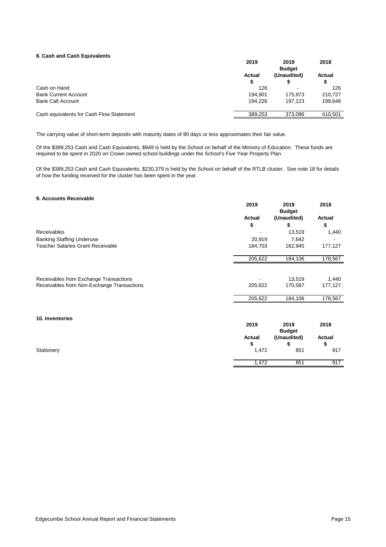#### **8. Cash and Cash Equivalents**

|                                          | 2019          | 2019<br><b>Budget</b> | 2018          |
|------------------------------------------|---------------|-----------------------|---------------|
|                                          | <b>Actual</b> | (Unaudited)           | <b>Actual</b> |
|                                          | \$            |                       | S             |
| Cash on Hand                             | 126           | -                     | 126           |
| <b>Bank Current Account</b>              | 194,901       | 175.973               | 210,727       |
| <b>Bank Call Account</b>                 | 194.226       | 197.123               | 199,648       |
| Cash equivalents for Cash Flow Statement | 389,253       | 373,096               | 410,501       |
|                                          |               |                       |               |

The carrying value of short-term deposits with maturity dates of 90 days or less approximates their fair value.

Of the \$389,253 Cash and Cash Equivalents, \$949 is held by the School on behalf of the Ministry of Education. These funds are required to be spent in 2020 on Crown owned school buildings under the School's Five Year Property Plan.

Of the \$389,253 Cash and Cash Equivalents, \$230,379 is held by the School on behalf of the RTLB cluster. See note 18 for details of how the funding received for the cluster has been spent in the year.

#### **9. Accounts Receivable**

|                                            | 2019          | 2019<br><b>Budget</b> | 2018          |
|--------------------------------------------|---------------|-----------------------|---------------|
|                                            | <b>Actual</b> | (Unaudited)           | <b>Actual</b> |
|                                            | \$            | \$                    | \$            |
| <b>Receivables</b>                         |               | 13,519                | 1,440         |
| <b>Banking Staffing Underuse</b>           | 20,919        | 7,642                 |               |
| <b>Teacher Salaries Grant Receivable</b>   | 184,703       | 162,945               | 177,127       |
|                                            | 205,622       | 184,106               | 178,567       |
| Receivables from Exchange Transactions     |               | 13,519                | 1,440         |
| Receivables from Non-Exchange Transactions | 205,622       | 170,587               | 177,127       |
|                                            | 205,622       | 184,106               | 178,567       |
|                                            |               |                       |               |

| 10. Inventories |               |               |               |
|-----------------|---------------|---------------|---------------|
|                 | 2019          | 2019          | 2018          |
|                 |               | <b>Budget</b> |               |
|                 | <b>Actual</b> | (Unaudited)   | <b>Actual</b> |
|                 | S             |               | \$            |
| Stationery      | 1,472         | 851           | 917           |
|                 |               |               |               |
|                 | 1,472         | 851           | 917           |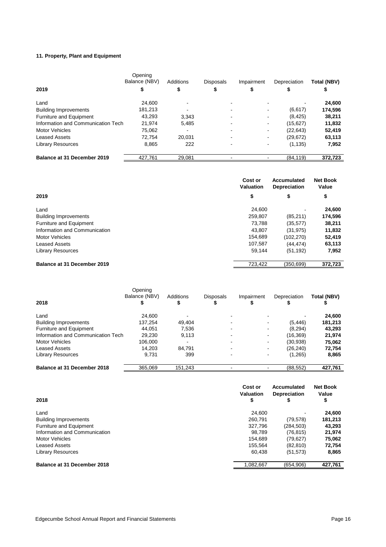### **11. Property, Plant and Equipment**

|                                    | Opening<br>Balance (NBV) | Additions | <b>Disposals</b> | Impairment | Depreciation | <b>Total (NBV)</b> |
|------------------------------------|--------------------------|-----------|------------------|------------|--------------|--------------------|
| 2019                               |                          | \$        |                  |            |              |                    |
| Land                               | 24,600                   |           |                  |            |              | 24,600             |
| <b>Building Improvements</b>       | 181,213                  |           |                  | ٠          | (6, 617)     | 174,596            |
| <b>Furniture and Equipment</b>     | 43,293                   | 3,343     | $\blacksquare$   | $\sim$     | (8, 425)     | 38,211             |
| Information and Communication Tech | 21,974                   | 5,485     |                  | ٠          | (15, 627)    | 11,832             |
| <b>Motor Vehicles</b>              | 75,062                   |           |                  | ۰.         | (22, 643)    | 52,419             |
| <b>Leased Assets</b>               | 72,754                   | 20,031    |                  | ۰.         | (29, 672)    | 63,113             |
| <b>Library Resources</b>           | 8,865                    | 222       | ۰                | ۰.         | (1, 135)     | 7,952              |
| Balance at 31 December 2019        | 427,761                  | 29,081    |                  |            | (84, 119)    | 372,723            |

|                                    | Cost or<br><b>Valuation</b> | <b>Accumulated</b><br><b>Depreciation</b> | <b>Net Book</b><br><b>Value</b> |
|------------------------------------|-----------------------------|-------------------------------------------|---------------------------------|
| 2019                               | \$                          | \$                                        | \$                              |
| Land                               | 24,600                      |                                           | 24,600                          |
| <b>Building Improvements</b>       | 259,807                     | (85, 211)                                 | 174,596                         |
| Furniture and Equipment            | 73.788                      | (35, 577)                                 | 38,211                          |
| Information and Communication      | 43,807                      | (31, 975)                                 | 11,832                          |
| <b>Motor Vehicles</b>              | 154,689                     | (102, 270)                                | 52,419                          |
| <b>Leased Assets</b>               | 107,587                     | (44, 474)                                 | 63,113                          |
| <b>Library Resources</b>           | 59,144                      | (51, 192)                                 | 7,952                           |
| <b>Balance at 31 December 2019</b> | 723,422                     | (350,699)                                 | 372,723                         |

| 2018                               | Opening<br>Balance (NBV) | Additions | <b>Disposals</b> | Impairment | Depreciation | <b>Total (NBV)</b> |
|------------------------------------|--------------------------|-----------|------------------|------------|--------------|--------------------|
| Land                               | 24,600                   |           |                  |            |              | 24,600             |
| <b>Building Improvements</b>       | 137,254                  | 49,404    | $\blacksquare$   | ۰          | (5, 446)     | 181,213            |
| <b>Furniture and Equipment</b>     | 44.051                   | 7,536     |                  | ٠.         | (8, 294)     | 43,293             |
| Information and Communication Tech | 29,230                   | 9,113     |                  | ٠.         | (16, 369)    | 21,974             |
| Motor Vehicles                     | 106,000                  |           |                  | ۰.         | (30, 938)    | 75,062             |
| <b>Leased Assets</b>               | 14.203                   | 84.791    |                  | ٠.         | (26, 240)    | 72,754             |
| Library Resources                  | 9,731                    | 399       |                  | ۰          | (1,265)      | 8,865              |
| <b>Balance at 31 December 2018</b> | 365,069                  | 151,243   |                  |            | (88, 552)    | 427,761            |

|                                    | Cost or<br><b>Valuation</b> | <b>Accumulated</b>        | <b>Net Book</b><br>Value |
|------------------------------------|-----------------------------|---------------------------|--------------------------|
| 2018                               | \$                          | <b>Depreciation</b><br>\$ | \$                       |
| Land                               | 24,600                      |                           | 24,600                   |
| <b>Building Improvements</b>       | 260,791                     | (79, 578)                 | 181,213                  |
| Furniture and Equipment            | 327,796                     | (284,503)                 | 43,293                   |
| Information and Communication      | 98.789                      | (76, 815)                 | 21,974                   |
| <b>Motor Vehicles</b>              | 154.689                     | (79, 627)                 | 75,062                   |
| <b>Leased Assets</b>               | 155,564                     | (82, 810)                 | 72,754                   |
| <b>Library Resources</b>           | 60,438                      | (51, 573)                 | 8,865                    |
| <b>Balance at 31 December 2018</b> | 1,082,667                   | (654, 906)                | 427,761                  |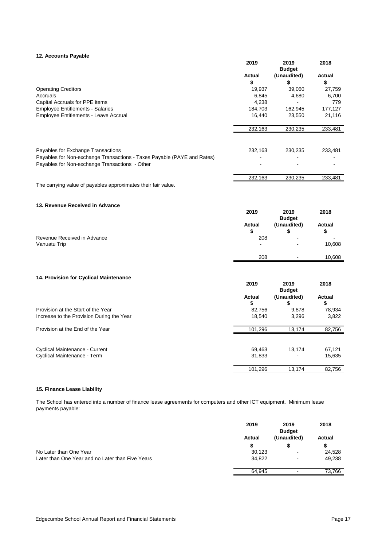#### **12. Accounts Payable**

|                                                                         | 2019          | 2019<br><b>Budget</b>    | 2018          |
|-------------------------------------------------------------------------|---------------|--------------------------|---------------|
|                                                                         | <b>Actual</b> | (Unaudited)              | <b>Actual</b> |
|                                                                         | \$            | \$                       | \$            |
| <b>Operating Creditors</b>                                              | 19,937        | 39,060                   | 27,759        |
| Accruals                                                                | 6,845         | 4,680                    | 6,700         |
| Capital Accruals for PPE items                                          | 4,238         |                          | 779           |
| <b>Employee Entitlements - Salaries</b>                                 | 184,703       | 162,945                  | 177,127       |
| Employee Entitlements - Leave Accrual                                   | 16,440        | 23,550                   | 21,116        |
|                                                                         |               |                          |               |
|                                                                         | 232,163       | 230,235                  | 233,481       |
|                                                                         |               |                          |               |
| Payables for Exchange Transactions                                      | 232,163       | 230,235                  | 233,481       |
| Payables for Non-exchange Transactions - Taxes Payable (PAYE and Rates) |               |                          |               |
| Payables for Non-exchange Transactions - Other                          |               |                          |               |
|                                                                         | 232,163       | 230,235                  | 233,481       |
| The carrying value of payables approximates their fair value.           |               |                          |               |
| 13. Revenue Received in Advance                                         |               |                          |               |
|                                                                         | 2019          | 2019                     | 2018          |
|                                                                         |               | <b>Budget</b>            |               |
|                                                                         | <b>Actual</b> | (Unaudited)              | <b>Actual</b> |
|                                                                         | \$            | \$                       | \$            |
| Revenue Received in Advance                                             | 208           |                          |               |
| Vanuatu Trip                                                            |               |                          | 10,608        |
|                                                                         | 208           | $\overline{\phantom{a}}$ | 10,608        |

#### **14. Provision for Cyclical Maintenance**

|                                           | 2019               | 2019<br><b>Budget</b> | 2018                |
|-------------------------------------------|--------------------|-----------------------|---------------------|
|                                           | <b>Actual</b><br>Φ | (Unaudited)           | <b>Actual</b><br>\$ |
| Provision at the Start of the Year        | 82,756             | 9,878                 | 78,934              |
| Increase to the Provision During the Year | 18,540             | 3,296                 | 3,822               |
| Provision at the End of the Year          | 101,296            | 13,174                | 82,756              |
|                                           |                    |                       |                     |
| <b>Cyclical Maintenance - Current</b>     | 69,463             | 13.174                | 67,121              |
| Cyclical Maintenance - Term               | 31,833             |                       | 15,635              |
|                                           | 101,296            | 13,174                | 82,756              |

#### **15. Finance Lease Liability**

The School has entered into a number of finance lease agreements for computers and other ICT equipment. Minimum lease payments payable:

|                                                  | 2019          | 2019<br><b>Budget</b> | 2018          |
|--------------------------------------------------|---------------|-----------------------|---------------|
|                                                  | <b>Actual</b> | (Unaudited)           | <b>Actual</b> |
|                                                  | S             | S                     | S             |
| No Later than One Year                           | 30,123        | ٠                     | 24,528        |
| Later than One Year and no Later than Five Years | 34,822        | ٠                     | 49,238        |
|                                                  | 64,945        | ۰                     | 73,766        |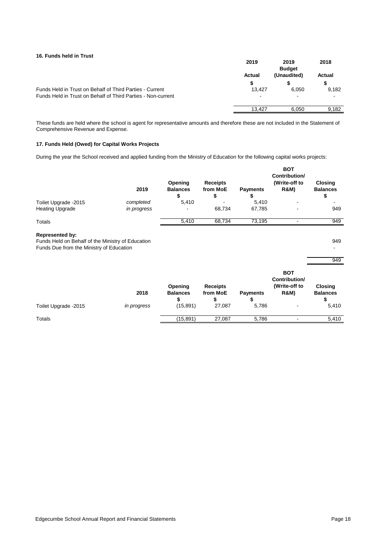#### **16. Funds held in Trust**

|                                                              | 2019                     | 2019<br><b>Budget</b> | 2018          |
|--------------------------------------------------------------|--------------------------|-----------------------|---------------|
|                                                              | <b>Actual</b>            | (Unaudited)           | <b>Actual</b> |
|                                                              | S                        |                       |               |
| Funds Held in Trust on Behalf of Third Parties - Current     | 13.427                   | 6.050                 | 9,182         |
| Funds Held in Trust on Behalf of Third Parties - Non-current | $\overline{\phantom{a}}$ | ۰                     | ۰.            |
|                                                              | 13.427                   | 6.050                 | 9,182         |

These funds are held where the school is agent for representative amounts and therefore these are not included in the Statement of Comprehensive Revenue and Expense.

#### **17. Funds Held (Owed) for Capital Works Projects**

During the year the School received and applied funding from the Ministry of Education for the following capital works projects:

| Toilet Upgrade -2015<br><b>Heating Upgrade</b>                                                                          | 2019<br>completed<br>in progress | Opening<br><b>Balances</b><br>\$<br>5,410 | <b>Receipts</b><br>from MoE<br>\$<br>68,734 | <b>Payments</b><br>S<br>5,410<br>67,785 | <b>BOT</b><br>Contribution/<br>(Write-off to<br><b>R&amp;M)</b> | <b>Closing</b><br><b>Balances</b><br>\$<br>949 |
|-------------------------------------------------------------------------------------------------------------------------|----------------------------------|-------------------------------------------|---------------------------------------------|-----------------------------------------|-----------------------------------------------------------------|------------------------------------------------|
|                                                                                                                         |                                  |                                           |                                             |                                         |                                                                 |                                                |
| <b>Totals</b>                                                                                                           |                                  | 5,410                                     | 68,734                                      | 73,195                                  |                                                                 | 949                                            |
| <b>Represented by:</b><br>Funds Held on Behalf of the Ministry of Education<br>Funds Due from the Ministry of Education |                                  |                                           |                                             |                                         |                                                                 | 949<br>949                                     |
|                                                                                                                         | 2018                             | Opening<br><b>Balances</b><br>\$          | <b>Receipts</b><br>from MoE<br>\$           | <b>Payments</b><br>\$                   | <b>BOT</b><br>Contribution/<br>(Write-off to<br><b>R&amp;M)</b> | <b>Closing</b><br><b>Balances</b><br>\$        |
| Toilet Upgrade -2015                                                                                                    | in progress                      | (15, 891)                                 | 27,087                                      | 5,786                                   |                                                                 | 5,410                                          |
| <b>Totals</b>                                                                                                           |                                  | (15, 891)                                 | 27,087                                      | 5,786                                   |                                                                 | 5,410                                          |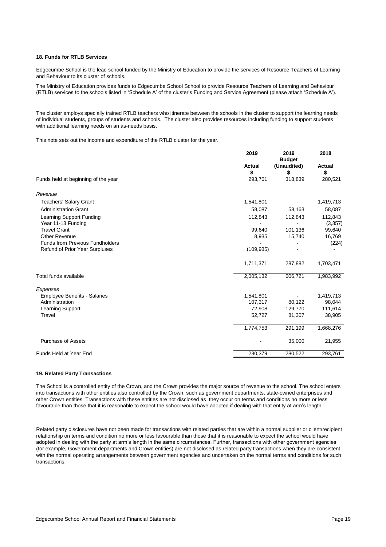#### **18. Funds for RTLB Services**

Edgecumbe School is the lead school funded by the Ministry of Education to provide the services of Resource Teachers of Learning and Behaviour to its cluster of schools.

The Ministry of Education provides funds to Edgecumbe School School to provide Resource Teachers of Learning and Behaviour (RTLB) services to the schools listed in 'Schedule A' of the cluster's Funding and Service Agreement (please attach 'Schedule A').

The cluster employs specially trained RTLB teachers who itinerate between the schools in the cluster to support the learning needs of individual students, groups of students and schools. The cluster also provides resources including funding to support students with additional learning needs on an as-needs basis.

This note sets out the income and expenditure of the RTLB cluster for the year.

| (Unaudited)<br><b>Actual</b><br><b>Actual</b><br>\$<br>\$<br>\$<br>318,839<br>293,761<br>280,521<br>1,419,713<br><b>Teachers' Salary Grant</b><br>1,541,801<br><b>Administration Grant</b><br>58,087<br>58,087<br>58,163<br><b>Learning Support Funding</b><br>112,843<br>112,843<br>112,843<br>Year 11-13 Funding<br>(3, 357)<br><b>Travel Grant</b><br>99,640<br>101,136<br>99,640<br><b>Other Revenue</b><br>16,769<br>8,935<br>15,740<br><b>Funds from Previous Fundholders</b><br>(224)<br><b>Refund of Prior Year Surpluses</b><br>(109, 935)<br>287,882<br>1,703,471<br>1,711,371<br>2,005,132<br>606,721<br>1,983,992<br>1,541,801<br>1,419,713<br><b>Employee Benefits - Salaries</b><br>Administration<br>80,122<br>107,317<br>98,044<br>129,770<br>Learning Support<br>72,908<br>111,614<br><b>Travel</b><br>52,727<br>81,307<br>38,905<br>1,774,753<br>291,199<br>1,668,276<br><b>Purchase of Assets</b><br>35,000<br>21,955<br>230,379<br>280,522<br>293,761 |                                     | 2019 | 2019<br><b>Budget</b> | 2018 |
|---------------------------------------------------------------------------------------------------------------------------------------------------------------------------------------------------------------------------------------------------------------------------------------------------------------------------------------------------------------------------------------------------------------------------------------------------------------------------------------------------------------------------------------------------------------------------------------------------------------------------------------------------------------------------------------------------------------------------------------------------------------------------------------------------------------------------------------------------------------------------------------------------------------------------------------------------------------------------|-------------------------------------|------|-----------------------|------|
|                                                                                                                                                                                                                                                                                                                                                                                                                                                                                                                                                                                                                                                                                                                                                                                                                                                                                                                                                                           |                                     |      |                       |      |
|                                                                                                                                                                                                                                                                                                                                                                                                                                                                                                                                                                                                                                                                                                                                                                                                                                                                                                                                                                           | Funds held at beginning of the year |      |                       |      |
|                                                                                                                                                                                                                                                                                                                                                                                                                                                                                                                                                                                                                                                                                                                                                                                                                                                                                                                                                                           | Revenue                             |      |                       |      |
|                                                                                                                                                                                                                                                                                                                                                                                                                                                                                                                                                                                                                                                                                                                                                                                                                                                                                                                                                                           |                                     |      |                       |      |
|                                                                                                                                                                                                                                                                                                                                                                                                                                                                                                                                                                                                                                                                                                                                                                                                                                                                                                                                                                           |                                     |      |                       |      |
|                                                                                                                                                                                                                                                                                                                                                                                                                                                                                                                                                                                                                                                                                                                                                                                                                                                                                                                                                                           |                                     |      |                       |      |
|                                                                                                                                                                                                                                                                                                                                                                                                                                                                                                                                                                                                                                                                                                                                                                                                                                                                                                                                                                           |                                     |      |                       |      |
|                                                                                                                                                                                                                                                                                                                                                                                                                                                                                                                                                                                                                                                                                                                                                                                                                                                                                                                                                                           |                                     |      |                       |      |
|                                                                                                                                                                                                                                                                                                                                                                                                                                                                                                                                                                                                                                                                                                                                                                                                                                                                                                                                                                           |                                     |      |                       |      |
|                                                                                                                                                                                                                                                                                                                                                                                                                                                                                                                                                                                                                                                                                                                                                                                                                                                                                                                                                                           |                                     |      |                       |      |
|                                                                                                                                                                                                                                                                                                                                                                                                                                                                                                                                                                                                                                                                                                                                                                                                                                                                                                                                                                           |                                     |      |                       |      |
|                                                                                                                                                                                                                                                                                                                                                                                                                                                                                                                                                                                                                                                                                                                                                                                                                                                                                                                                                                           |                                     |      |                       |      |
|                                                                                                                                                                                                                                                                                                                                                                                                                                                                                                                                                                                                                                                                                                                                                                                                                                                                                                                                                                           | Total funds available               |      |                       |      |
|                                                                                                                                                                                                                                                                                                                                                                                                                                                                                                                                                                                                                                                                                                                                                                                                                                                                                                                                                                           | Expenses                            |      |                       |      |
|                                                                                                                                                                                                                                                                                                                                                                                                                                                                                                                                                                                                                                                                                                                                                                                                                                                                                                                                                                           |                                     |      |                       |      |
|                                                                                                                                                                                                                                                                                                                                                                                                                                                                                                                                                                                                                                                                                                                                                                                                                                                                                                                                                                           |                                     |      |                       |      |
|                                                                                                                                                                                                                                                                                                                                                                                                                                                                                                                                                                                                                                                                                                                                                                                                                                                                                                                                                                           |                                     |      |                       |      |
|                                                                                                                                                                                                                                                                                                                                                                                                                                                                                                                                                                                                                                                                                                                                                                                                                                                                                                                                                                           |                                     |      |                       |      |
|                                                                                                                                                                                                                                                                                                                                                                                                                                                                                                                                                                                                                                                                                                                                                                                                                                                                                                                                                                           |                                     |      |                       |      |
|                                                                                                                                                                                                                                                                                                                                                                                                                                                                                                                                                                                                                                                                                                                                                                                                                                                                                                                                                                           |                                     |      |                       |      |
|                                                                                                                                                                                                                                                                                                                                                                                                                                                                                                                                                                                                                                                                                                                                                                                                                                                                                                                                                                           | Funds Held at Year End              |      |                       |      |

#### **19. Related Party Transactions**

The School is a controlled entity of the Crown, and the Crown provides the major source of revenue to the school. The school enters into transactions with other entities also controlled by the Crown, such as government departments, state-owned enterprises and other Crown entities. Transactions with these entities are not disclosed as they occur on terms and conditions no more or less favourable than those that it is reasonable to expect the school would have adopted if dealing with that entity at arm's length.

Related party disclosures have not been made for transactions with related parties that are within a normal supplier or client/recipient relationship on terms and condition no more or less favourable than those that it is reasonable to expect the school would have adopted in dealing with the party at arm's length in the same circumstances. Further, transactions with other government agencies (for example, Government departments and Crown entities) are not disclosed as related party transactions when they are consistent with the normal operating arrangements between government agencies and undertaken on the normal terms and conditions for such transactions.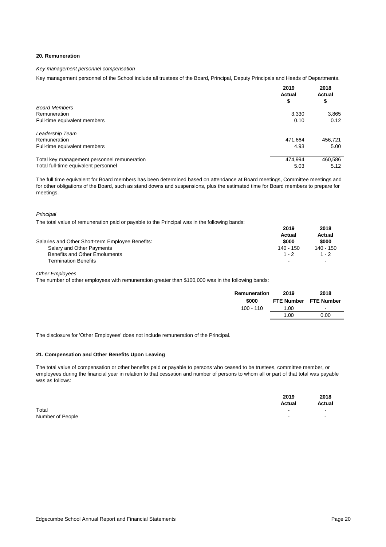#### **20. Remuneration**

#### *Key management personnel compensation*

Key management personnel of the School include all trustees of the Board, Principal, Deputy Principals and Heads of Departments.

|                                             | 2019<br><b>Actual</b><br>\$ | 2018<br><b>Actual</b><br>\$ |
|---------------------------------------------|-----------------------------|-----------------------------|
| <b>Board Members</b>                        |                             |                             |
| Remuneration                                | 3,330                       | 3,865                       |
| Full-time equivalent members                | 0.10                        | 0.12                        |
| Leadership Team                             |                             |                             |
| Remuneration                                | 471,664                     | 456,721                     |
| Full-time equivalent members                | 4.93                        | 5.00                        |
| Total key management personnel remuneration | 474,994                     | 460,586                     |
| Total full-time equivalent personnel        | 5.03                        | 5.12                        |

The full time equivalent for Board members has been determined based on attendance at Board meetings, Committee meetings and for other obligations of the Board, such as stand downs and suspensions, plus the estimated time for Board members to prepare for meetings.

#### *Principal*

The total value of remuneration paid or payable to the Principal was in the following bands:

|                                                  | 2019      | 2018                     |
|--------------------------------------------------|-----------|--------------------------|
|                                                  | Actual    | Actual                   |
| Salaries and Other Short-term Employee Benefits: | \$000     | \$000                    |
| Salary and Other Payments                        | 140 - 150 | 140 - 150                |
| <b>Benefits and Other Emoluments</b>             | $1 - 2$   | $1 - 2$                  |
| <b>Termination Benefits</b>                      | -         | $\overline{\phantom{a}}$ |

*Other Employees*

The number of other employees with remuneration greater than \$100,000 was in the following bands:

| Remuneration | 2019 | 2018                  |
|--------------|------|-----------------------|
| \$000        |      | FTE Number FTE Number |
| $100 - 110$  | 1.00 | $\sim$                |
|              | 1.00 | 0.00                  |
|              |      |                       |

The disclosure for 'Other Employees' does not include remuneration of the Principal.

#### **21. Compensation and Other Benefits Upon Leaving**

The total value of compensation or other benefits paid or payable to persons who ceased to be trustees, committee member, or employees during the financial year in relation to that cessation and number of persons to whom all or part of that total was payable was as follows:

|                  | 2019<br><b>Actual</b>    | 2018<br><b>Actual</b> |
|------------------|--------------------------|-----------------------|
| Total            | $\overline{\phantom{a}}$ | ۰.                    |
| Number of People |                          |                       |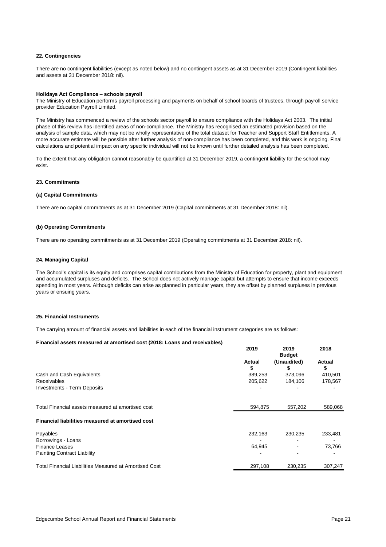#### **22. Contingencies**

There are no contingent liabilities (except as noted below) and no contingent assets as at 31 December 2019 (Contingent liabilities and assets at 31 December 2018: nil).

#### **Holidays Act Compliance – schools payroll**

The Ministry of Education performs payroll processing and payments on behalf of school boards of trustees, through payroll service provider Education Payroll Limited.

The Ministry has commenced a review of the schools sector payroll to ensure compliance with the Holidays Act 2003. The initial phase of this review has identified areas of non-compliance. The Ministry has recognised an estimated provision based on the analysis of sample data, which may not be wholly representative of the total dataset for Teacher and Support Staff Entitlements. A more accurate estimate will be possible after further analysis of non-compliance has been completed, and this work is ongoing. Final calculations and potential impact on any specific individual will not be known until further detailed analysis has been completed.

To the extent that any obligation cannot reasonably be quantified at 31 December 2019, a contingent liability for the school may exist.

#### **23. Commitments**

#### **(a) Capital Commitments**

There are no capital commitments as at 31 December 2019 (Capital commitments at 31 December 2018: nil).

#### **(b) Operating Commitments**

There are no operating commitments as at 31 December 2019 (Operating commitments at 31 December 2018: nil).

#### **24. Managing Capital**

The School's capital is its equity and comprises capital contributions from the Ministry of Education for property, plant and equipment and accumulated surpluses and deficits. The School does not actively manage capital but attempts to ensure that income exceeds spending in most years. Although deficits can arise as planned in particular years, they are offset by planned surpluses in previous years or ensuing years.

#### **25. Financial Instruments**

The carrying amount of financial assets and liabilities in each of the financial instrument categories are as follows:

#### **Financial assets measured at amortised cost (2018: Loans and receivables)**

|                                                               | 2019          | 2019<br><b>Budget</b> | 2018          |
|---------------------------------------------------------------|---------------|-----------------------|---------------|
|                                                               | <b>Actual</b> | (Unaudited)           | <b>Actual</b> |
|                                                               | S             | æ.                    | \$            |
| Cash and Cash Equivalents                                     | 389,253       | 373,096               | 410,501       |
| <b>Receivables</b>                                            | 205,622       | 184,106               | 178,567       |
| <b>Investments - Term Deposits</b>                            |               |                       |               |
| Total Financial assets measured at amortised cost             | 594,875       | 557,202               | 589,068       |
| Financial liabilities measured at amortised cost              |               |                       |               |
| Payables                                                      | 232,163       | 230,235               | 233,481       |
| Borrowings - Loans                                            |               |                       |               |
| <b>Finance Leases</b>                                         | 64,945        |                       | 73,766        |
| <b>Painting Contract Liability</b>                            |               |                       |               |
| <b>Total Financial Liabilities Measured at Amortised Cost</b> | 297,108       | 230,235               | 307,247       |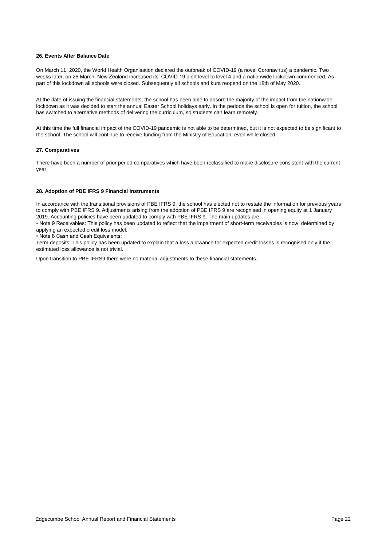#### **26. Events After Balance Date**

On March 11, 2020, the World Health Organisation declared the outbreak of COVID-19 (a novel Coronavirus) a pandemic. Two weeks later, on 26 March, New Zealand increased its' COVID-19 alert level to level 4 and a nationwide lockdown commenced. As part of this lockdown all schools were closed. Subsequently all schools and kura reopend on the 18th of May 2020.

At the date of issuing the financial statements, the school has been able to absorb the majority of the impact from the nationwide lockdown as it was decided to start the annual Easter School holidays early. In the periods the school is open for tuition, the school has switched to alternative methods of delivering the curriculum, so students can learn remotely.

At this time the full financial impact of the COVID-19 pandemic is not able to be determined, but it is not expected to be significant to the school. The school will continue to receive funding from the Ministry of Education, even while closed.

#### **27. Comparatives**

There have been a number of prior period comparatives which have been reclassified to make disclosure consistent with the current year.

#### **28. Adoption of PBE IFRS 9 Financial Instruments**

In accordance with the transitional provisions of PBE IFRS 9, the school has elected not to restate the information for previous years to comply with PBE IFRS 9. Adjustments arising from the adoption of PBE IFRS 9 are recognised in opening equity at 1 January 2019. Accounting policies have been updated to comply with PBE IFRS 9. The main updates are:

• Note 9 Receivables: This policy has been updated to reflect that the impairment of short-term receivables is now determined by applying an expected credit loss model.

• Note 8 Cash and Cash Equivalents:

Term deposits: This policy has been updated to explain that a loss allowance for expected credit losses is recognised only if the estimated loss allowance is not trivial.

Upon transition to PBE IFRS9 there were no material adjustments to these financial statements.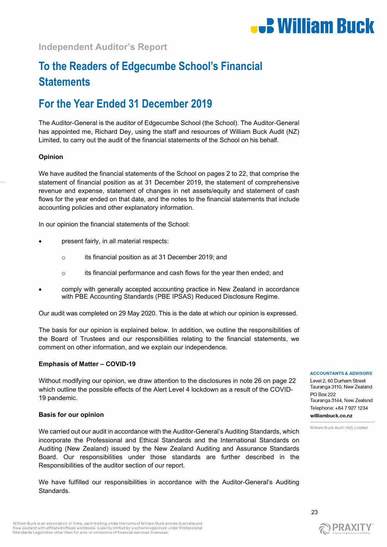

**Independent Auditor's Report**

## **To the Readers of Edgecumbe School's Financial Statements**

## **For the Year Ended 31 December 2019**

The Auditor-General is the auditor of Edgecumbe School (the School). The Auditor-General has appointed me, Richard Dey, using the staff and resources of William Buck Audit (NZ) Limited, to carry out the audit of the financial statements of the School on his behalf.

#### **Opinion**

We have audited the financial statements of the School on pages 2 to 22, that comprise the statement of financial position as at 31 December 2019, the statement of comprehensive revenue and expense, statement of changes in net assets/equity and statement of cash flows for the year ended on that date, and the notes to the financial statements that include accounting policies and other explanatory information.

In our opinion the financial statements of the School:

- present fairly, in all material respects:
	- o its financial position as at 31 December 2019; and
	- o its financial performance and cash flows for the year then ended; and
- comply with generally accepted accounting practice in New Zealand in accordance with PBE Accounting Standards (PBE IPSAS) Reduced Disclosure Regime.

Our audit was completed on 29 May 2020. This is the date at which our opinion is expressed.

The basis for our opinion is explained below. In addition, we outline the responsibilities of the Board of Trustees and our responsibilities relating to the financial statements, we comment on other information, and we explain our independence.

#### **Emphasis of Matter – COVID-19**

Without modifying our opinion, we draw attention to the disclosures in note 26 on page 22 which outline the possible effects of the Alert Level 4 lockdown as a result of the COVID-19 pandemic.

#### **Basis for our opinion**

We carried out our audit in accordance with the Auditor-General's Auditing Standards, which incorporate the Professional and Ethical Standards and the International Standards on Auditing (New Zealand) issued by the New Zealand Auditing and Assurance Standards Board. Our responsibilities under those standards are further described in the Responsibilities of the auditor section of our report.

We have fulfilled our responsibilities in accordance with the Auditor-General's Auditing Standards.

#### **ACCOUNTANTS & ADVISORS**

Level 2, 60 Durham Street Tauranga 3110, New Zealand **PO Box 222** Tauranga 3144, New Zealand Telephone: +64 7 927 1234 williambuck.co.nz

William Buck Audit (NZ) Limited

23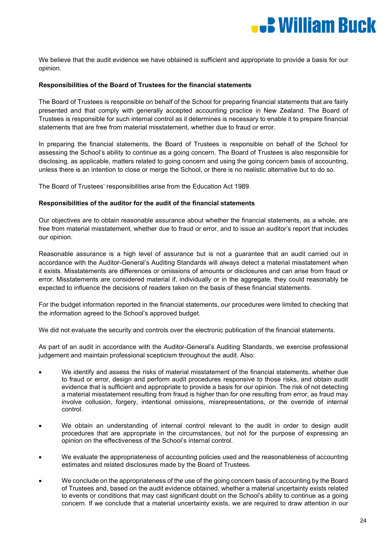

We believe that the audit evidence we have obtained is sufficient and appropriate to provide a basis for our opinion.

#### **Responsibilities of the Board of Trustees for the financial statements**

The Board of Trustees is responsible on behalf of the School for preparing financial statements that are fairly presented and that comply with generally accepted accounting practice in New Zealand. The Board of Trustees is responsible for such internal control as it determines is necessary to enable it to prepare financial statements that are free from material misstatement, whether due to fraud or error.

In preparing the financial statements, the Board of Trustees is responsible on behalf of the School for assessing the School's ability to continue as a going concern. The Board of Trustees is also responsible for disclosing, as applicable, matters related to going concern and using the going concern basis of accounting, unless there is an intention to close or merge the School, or there is no realistic alternative but to do so.

The Board of Trustees' responsibilities arise from the Education Act 1989.

#### **Responsibilities of the auditor for the audit of the financial statements**

Our objectives are to obtain reasonable assurance about whether the financial statements, as a whole, are free from material misstatement, whether due to fraud or error, and to issue an auditor's report that includes our opinion.

Reasonable assurance is a high level of assurance but is not a guarantee that an audit carried out in accordance with the Auditor-General's Auditing Standards will always detect a material misstatement when it exists. Misstatements are differences or omissions of amounts or disclosures and can arise from fraud or error. Misstatements are considered material if, individually or in the aggregate, they could reasonably be expected to influence the decisions of readers taken on the basis of these financial statements.

For the budget information reported in the financial statements, our procedures were limited to checking that the information agreed to the School's approved budget.

We did not evaluate the security and controls over the electronic publication of the financial statements.

As part of an audit in accordance with the Auditor-General's Auditing Standards, we exercise professional judgement and maintain professional scepticism throughout the audit. Also:

- We identify and assess the risks of material misstatement of the financial statements, whether due to fraud or error, design and perform audit procedures responsive to those risks, and obtain audit evidence that is sufficient and appropriate to provide a basis for our opinion. The risk of not detecting a material misstatement resulting from fraud is higher than for one resulting from error, as fraud may involve collusion, forgery, intentional omissions, misrepresentations, or the override of internal control.
- We obtain an understanding of internal control relevant to the audit in order to design audit procedures that are appropriate in the circumstances, but not for the purpose of expressing an opinion on the effectiveness of the School's internal control.
- We evaluate the appropriateness of accounting policies used and the reasonableness of accounting estimates and related disclosures made by the Board of Trustees.
- We conclude on the appropriateness of the use of the going concern basis of accounting by the Board of Trustees and, based on the audit evidence obtained, whether a material uncertainty exists related to events or conditions that may cast significant doubt on the School's ability to continue as a going concern. If we conclude that a material uncertainty exists, we are required to draw attention in our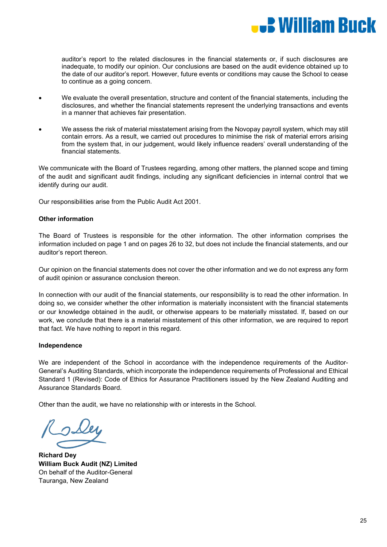

auditor's report to the related disclosures in the financial statements or, if such disclosures are inadequate, to modify our opinion. Our conclusions are based on the audit evidence obtained up to the date of our auditor's report. However, future events or conditions may cause the School to cease to continue as a going concern.

- We evaluate the overall presentation, structure and content of the financial statements, including the disclosures, and whether the financial statements represent the underlying transactions and events in a manner that achieves fair presentation.
- We assess the risk of material misstatement arising from the Novopay payroll system, which may still contain errors. As a result, we carried out procedures to minimise the risk of material errors arising from the system that, in our judgement, would likely influence readers' overall understanding of the financial statements.

We communicate with the Board of Trustees regarding, among other matters, the planned scope and timing of the audit and significant audit findings, including any significant deficiencies in internal control that we identify during our audit.

Our responsibilities arise from the Public Audit Act 2001.

#### **Other information**

The Board of Trustees is responsible for the other information. The other information comprises the information included on page 1 and on pages 26 to 32, but does not include the financial statements, and our auditor's report thereon.

Our opinion on the financial statements does not cover the other information and we do not express any form of audit opinion or assurance conclusion thereon.

In connection with our audit of the financial statements, our responsibility is to read the other information. In doing so, we consider whether the other information is materially inconsistent with the financial statements or our knowledge obtained in the audit, or otherwise appears to be materially misstated. If, based on our work, we conclude that there is a material misstatement of this other information, we are required to report that fact. We have nothing to report in this regard.

#### **Independence**

We are independent of the School in accordance with the independence requirements of the Auditor-General's Auditing Standards, which incorporate the independence requirements of Professional and Ethical Standard 1 (Revised): Code of Ethics for Assurance Practitioners issued by the New Zealand Auditing and Assurance Standards Board.

Other than the audit, we have no relationship with or interests in the School.

**Richard Dey William Buck Audit (NZ) Limited** On behalf of the Auditor-General Tauranga, New Zealand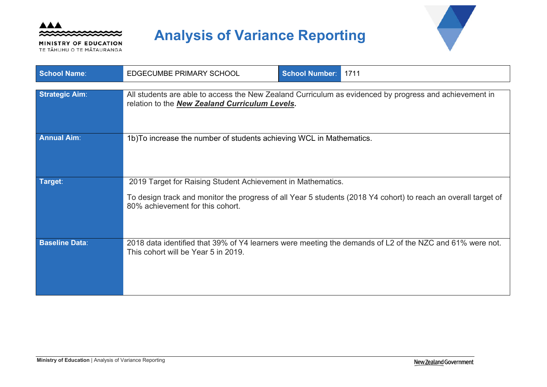

MINISTRY OF EDUCATION TE TĂHUHU O TE MĂTAURANGA

# **Analysis of Variance Reporting**



| <b>School Name:</b>   | EDGECUMBE PRIMARY SCHOOL                                             | <b>School Number:</b> | 1711                                                                                                           |
|-----------------------|----------------------------------------------------------------------|-----------------------|----------------------------------------------------------------------------------------------------------------|
| <b>Strategic Aim:</b> |                                                                      |                       | All students are able to access the New Zealand Curriculum as evidenced by progress and achievement in         |
|                       | relation to the <b>New Zealand Curriculum Levels.</b>                |                       |                                                                                                                |
|                       |                                                                      |                       |                                                                                                                |
| <b>Annual Aim:</b>    | 1b) To increase the number of students achieving WCL in Mathematics. |                       |                                                                                                                |
|                       |                                                                      |                       |                                                                                                                |
|                       |                                                                      |                       |                                                                                                                |
| Target:               | 2019 Target for Raising Student Achievement in Mathematics.          |                       |                                                                                                                |
|                       | 80% achievement for this cohort.                                     |                       | To design track and monitor the progress of all Year 5 students (2018 Y4 cohort) to reach an overall target of |
|                       |                                                                      |                       |                                                                                                                |
| <b>Baseline Data:</b> | This cohort will be Year 5 in 2019.                                  |                       | 2018 data identified that 39% of Y4 learners were meeting the demands of L2 of the NZC and 61% were not.       |
|                       |                                                                      |                       |                                                                                                                |
|                       |                                                                      |                       |                                                                                                                |
|                       |                                                                      |                       |                                                                                                                |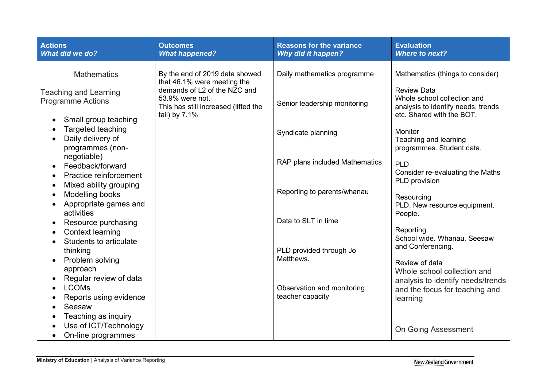| <b>Actions</b><br><b>What did we do?</b>                                                                      | <b>Outcomes</b><br><b>What happened?</b>                                                                 | <b>Reasons for the variance</b><br><b>Why did it happen?</b> | <b>Evaluation</b><br><b>Where to next?</b>                                                                           |
|---------------------------------------------------------------------------------------------------------------|----------------------------------------------------------------------------------------------------------|--------------------------------------------------------------|----------------------------------------------------------------------------------------------------------------------|
| <b>Mathematics</b>                                                                                            | By the end of 2019 data showed<br>that 46.1% were meeting the                                            | Daily mathematics programme                                  | Mathematics (things to consider)                                                                                     |
| <b>Teaching and Learning</b><br><b>Programme Actions</b>                                                      | demands of L2 of the NZC and<br>53.9% were not.<br>This has still increased (lifted the<br>tail) by 7.1% | Senior leadership monitoring                                 | <b>Review Data</b><br>Whole school collection and<br>analysis to identify needs, trends<br>etc. Shared with the BOT. |
| Small group teaching<br>Targeted teaching<br>Daily delivery of<br>programmes (non-                            |                                                                                                          | Syndicate planning                                           | Monitor<br>Teaching and learning<br>programmes. Student data.                                                        |
| negotiable)<br>Feedback/forward<br>Practice reinforcement<br>$\bullet$<br>Mixed ability grouping<br>$\bullet$ |                                                                                                          | RAP plans included Mathematics                               | <b>PLD</b><br>Consider re-evaluating the Maths<br>PLD provision                                                      |
| Modelling books<br>Appropriate games and<br>activities                                                        |                                                                                                          | Reporting to parents/whanau                                  | Resourcing<br>PLD. New resource equipment.<br>People.                                                                |
| Resource purchasing<br>$\bullet$<br><b>Context learning</b><br>٠<br>Students to articulate                    |                                                                                                          | Data to SLT in time                                          | Reporting<br>School wide. Whanau. Seesaw                                                                             |
| thinking<br>Problem solving<br>$\bullet$<br>approach                                                          |                                                                                                          | PLD provided through Jo<br>Matthews.                         | and Conferencing.<br>Review of data<br>Whole school collection and                                                   |
| Regular review of data<br>$\bullet$<br><b>LCOMs</b><br>$\bullet$<br>Reports using evidence<br>Seesaw          |                                                                                                          | Observation and monitoring<br>teacher capacity               | analysis to identify needs/trends<br>and the focus for teaching and<br>learning                                      |
| Teaching as inquiry<br>Use of ICT/Technology<br>On-line programmes<br>$\bullet$                               |                                                                                                          |                                                              | <b>On Going Assessment</b>                                                                                           |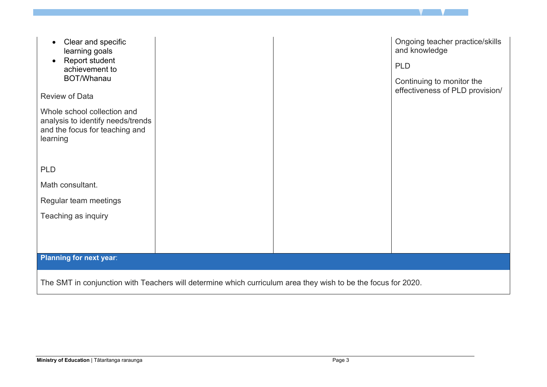| Clear and specific<br>learning goals<br>Report student<br>achievement to<br><b>BOT/Whanau</b><br><b>Review of Data</b><br>Whole school collection and<br>analysis to identify needs/trends<br>and the focus for teaching and<br>learning |  |  | Ongoing teacher practice/skills<br>and knowledge<br><b>PLD</b><br>Continuing to monitor the<br>effectiveness of PLD provision/ |
|------------------------------------------------------------------------------------------------------------------------------------------------------------------------------------------------------------------------------------------|--|--|--------------------------------------------------------------------------------------------------------------------------------|
| <b>PLD</b>                                                                                                                                                                                                                               |  |  |                                                                                                                                |
| Math consultant.                                                                                                                                                                                                                         |  |  |                                                                                                                                |
| Regular team meetings                                                                                                                                                                                                                    |  |  |                                                                                                                                |
| Teaching as inquiry                                                                                                                                                                                                                      |  |  |                                                                                                                                |
|                                                                                                                                                                                                                                          |  |  |                                                                                                                                |
|                                                                                                                                                                                                                                          |  |  |                                                                                                                                |
| <b>Planning for next year:</b>                                                                                                                                                                                                           |  |  |                                                                                                                                |
| The SMT in conjunction with Teachers will determine which curriculum area they wish to be the focus for 2020.                                                                                                                            |  |  |                                                                                                                                |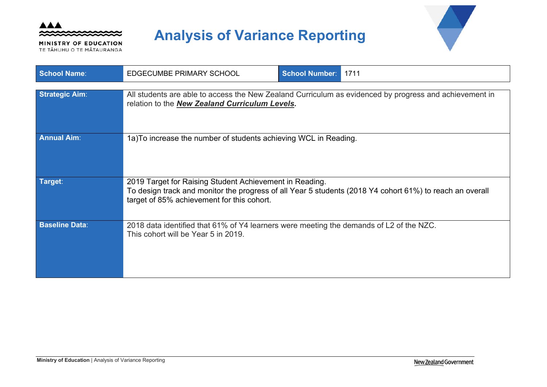

MINISTRY OF EDUCATION TE TĂHUHU O TE MĂTAURANGA

# **Analysis of Variance Reporting**



| <b>School Name:</b>   | EDGECUMBE PRIMARY SCHOOL                                                                                                                                                                                          | <b>School Number:</b> | 1711                                                                                                   |
|-----------------------|-------------------------------------------------------------------------------------------------------------------------------------------------------------------------------------------------------------------|-----------------------|--------------------------------------------------------------------------------------------------------|
| <b>Strategic Aim:</b> | relation to the <b>New Zealand Curriculum Levels.</b>                                                                                                                                                             |                       | All students are able to access the New Zealand Curriculum as evidenced by progress and achievement in |
| <b>Annual Aim:</b>    | 1a) To increase the number of students achieving WCL in Reading.                                                                                                                                                  |                       |                                                                                                        |
| Target:               | 2019 Target for Raising Student Achievement in Reading.<br>To design track and monitor the progress of all Year 5 students (2018 Y4 cohort 61%) to reach an overall<br>target of 85% achievement for this cohort. |                       |                                                                                                        |
| <b>Baseline Data:</b> | 2018 data identified that 61% of Y4 learners were meeting the demands of L2 of the NZC.<br>This cohort will be Year 5 in 2019.                                                                                    |                       |                                                                                                        |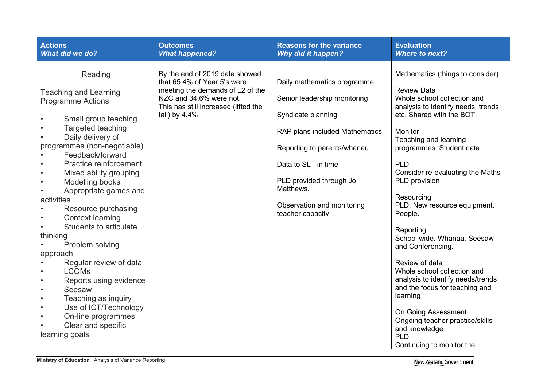| <b>Actions</b>                                                                                                                                                                                                                                                                                                                                                                                                                                                                                                                                                                                                            | <b>Outcomes</b>                                                                                                                                                                          | <b>Reasons for the variance</b>                                                                                                                                                                                                                                     | <b>Evaluation</b>                                                                                                                                                                                                                                                                                                                                                                                                                                                                                                                                                                                                                                                                       |
|---------------------------------------------------------------------------------------------------------------------------------------------------------------------------------------------------------------------------------------------------------------------------------------------------------------------------------------------------------------------------------------------------------------------------------------------------------------------------------------------------------------------------------------------------------------------------------------------------------------------------|------------------------------------------------------------------------------------------------------------------------------------------------------------------------------------------|---------------------------------------------------------------------------------------------------------------------------------------------------------------------------------------------------------------------------------------------------------------------|-----------------------------------------------------------------------------------------------------------------------------------------------------------------------------------------------------------------------------------------------------------------------------------------------------------------------------------------------------------------------------------------------------------------------------------------------------------------------------------------------------------------------------------------------------------------------------------------------------------------------------------------------------------------------------------------|
| <b>What did we do?</b>                                                                                                                                                                                                                                                                                                                                                                                                                                                                                                                                                                                                    | <b>What happened?</b>                                                                                                                                                                    | <b>Why did it happen?</b>                                                                                                                                                                                                                                           | <b>Where to next?</b>                                                                                                                                                                                                                                                                                                                                                                                                                                                                                                                                                                                                                                                                   |
| Reading<br><b>Teaching and Learning</b><br><b>Programme Actions</b><br>Small group teaching<br>Targeted teaching<br>Daily delivery of<br>programmes (non-negotiable)<br>Feedback/forward<br>Practice reinforcement<br>Mixed ability grouping<br>Modelling books<br>Appropriate games and<br>activities<br>Resource purchasing<br><b>Context learning</b><br>Students to articulate<br>thinking<br>Problem solving<br>approach<br>Regular review of data<br><b>LCOMs</b><br>Reports using evidence<br>Seesaw<br>Teaching as inquiry<br>Use of ICT/Technology<br>On-line programmes<br>Clear and specific<br>learning goals | By the end of 2019 data showed<br>that 65.4% of Year 5's were<br>meeting the demands of L2 of the<br>NZC and 34.6% were not.<br>This has still increased (lifted the<br>tail) by $4.4\%$ | Daily mathematics programme<br>Senior leadership monitoring<br>Syndicate planning<br>RAP plans included Mathematics<br>Reporting to parents/whanau<br>Data to SLT in time<br>PLD provided through Jo<br>Matthews.<br>Observation and monitoring<br>teacher capacity | Mathematics (things to consider)<br><b>Review Data</b><br>Whole school collection and<br>analysis to identify needs, trends<br>etc. Shared with the BOT.<br>Monitor<br>Teaching and learning<br>programmes. Student data.<br><b>PLD</b><br>Consider re-evaluating the Maths<br>PLD provision<br>Resourcing<br>PLD. New resource equipment.<br>People.<br>Reporting<br>School wide. Whanau. Seesaw<br>and Conferencing.<br>Review of data<br>Whole school collection and<br>analysis to identify needs/trends<br>and the focus for teaching and<br>learning<br><b>On Going Assessment</b><br>Ongoing teacher practice/skills<br>and knowledge<br><b>PLD</b><br>Continuing to monitor the |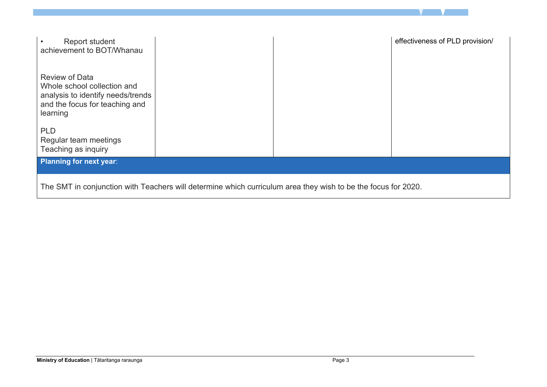| Report student<br>achievement to BOT/Whanau                                                                                             |  |  | effectiveness of PLD provision/ |
|-----------------------------------------------------------------------------------------------------------------------------------------|--|--|---------------------------------|
| <b>Review of Data</b><br>Whole school collection and<br>analysis to identify needs/trends<br>and the focus for teaching and<br>learning |  |  |                                 |
| <b>PLD</b><br>Regular team meetings<br>Teaching as inquiry                                                                              |  |  |                                 |
| <b>Planning for next year:</b>                                                                                                          |  |  |                                 |
| The SMT in conjunction with Teachers will determine which curriculum area they wish to be the focus for 2020.                           |  |  |                                 |